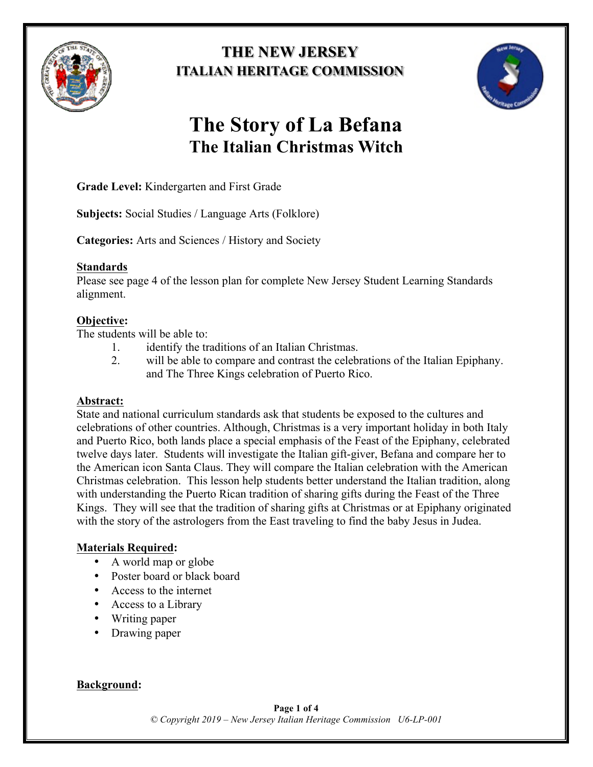

## **THE NEW JERSEY ITALIAN HERITAGE COMMISSION**



# **The Story of La Befana The Italian Christmas Witch**

**Grade Level:** Kindergarten and First Grade

**Subjects:** Social Studies / Language Arts (Folklore)

**Categories:** Arts and Sciences / History and Society

#### **Standards**

Please see page 4 of the lesson plan for complete New Jersey Student Learning Standards alignment.

## **Objective:**

The students will be able to:

- 1. identify the traditions of an Italian Christmas.
- 2. will be able to compare and contrast the celebrations of the Italian Epiphany. and The Three Kings celebration of Puerto Rico.

#### **Abstract:**

State and national curriculum standards ask that students be exposed to the cultures and celebrations of other countries. Although, Christmas is a very important holiday in both Italy and Puerto Rico, both lands place a special emphasis of the Feast of the Epiphany, celebrated twelve days later. Students will investigate the Italian gift-giver, Befana and compare her to the American icon Santa Claus. They will compare the Italian celebration with the American Christmas celebration. This lesson help students better understand the Italian tradition, along with understanding the Puerto Rican tradition of sharing gifts during the Feast of the Three Kings. They will see that the tradition of sharing gifts at Christmas or at Epiphany originated with the story of the astrologers from the East traveling to find the baby Jesus in Judea.

## **Materials Required:**

- A world map or globe
- Poster board or black board
- Access to the internet
- Access to a Library
- Writing paper
- Drawing paper

## **Background:**

**Page 1 of 4** *© Copyright 2019 – New Jersey Italian Heritage Commission U6-LP-001*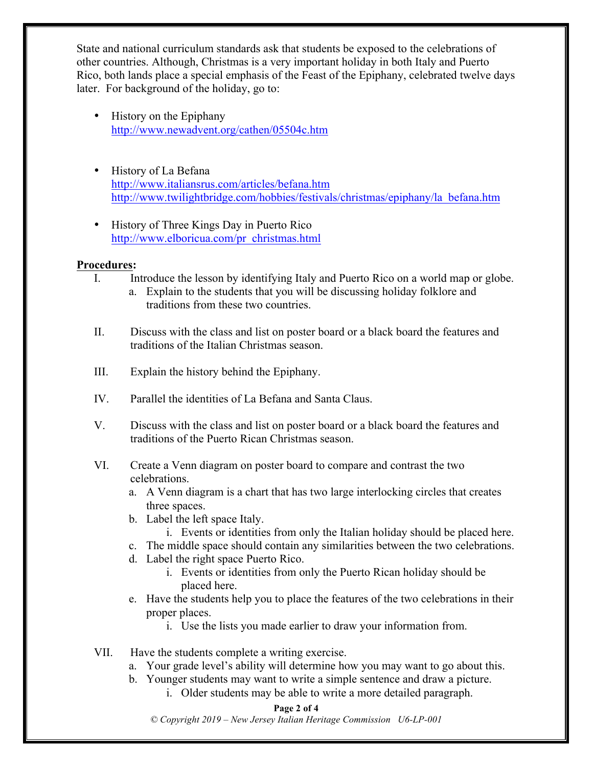State and national curriculum standards ask that students be exposed to the celebrations of other countries. Although, Christmas is a very important holiday in both Italy and Puerto Rico, both lands place a special emphasis of the Feast of the Epiphany, celebrated twelve days later. For background of the holiday, go to:

- History on the Epiphany http://www.newadvent.org/cathen/05504c.htm
- History of La Befana http://www.italiansrus.com/articles/befana.htm http://www.twilightbridge.com/hobbies/festivals/christmas/epiphany/la\_befana.htm
- History of Three Kings Day in Puerto Rico http://www.elboricua.com/pr\_christmas.html

#### **Procedures:**

- I. Introduce the lesson by identifying Italy and Puerto Rico on a world map or globe.
	- a. Explain to the students that you will be discussing holiday folklore and traditions from these two countries.
- II. Discuss with the class and list on poster board or a black board the features and traditions of the Italian Christmas season.
- III. Explain the history behind the Epiphany.
- IV. Parallel the identities of La Befana and Santa Claus.
- V. Discuss with the class and list on poster board or a black board the features and traditions of the Puerto Rican Christmas season.
- VI. Create a Venn diagram on poster board to compare and contrast the two celebrations.
	- a. A Venn diagram is a chart that has two large interlocking circles that creates three spaces.
	- b. Label the left space Italy.
		- i. Events or identities from only the Italian holiday should be placed here.
	- c. The middle space should contain any similarities between the two celebrations.
	- d. Label the right space Puerto Rico.
		- i. Events or identities from only the Puerto Rican holiday should be placed here.
	- e. Have the students help you to place the features of the two celebrations in their proper places.
		- i. Use the lists you made earlier to draw your information from.
- VII. Have the students complete a writing exercise.
	- a. Your grade level's ability will determine how you may want to go about this.
	- b. Younger students may want to write a simple sentence and draw a picture.
		- i. Older students may be able to write a more detailed paragraph.

#### **Page 2 of 4**

*© Copyright 2019 – New Jersey Italian Heritage Commission U6-LP-001*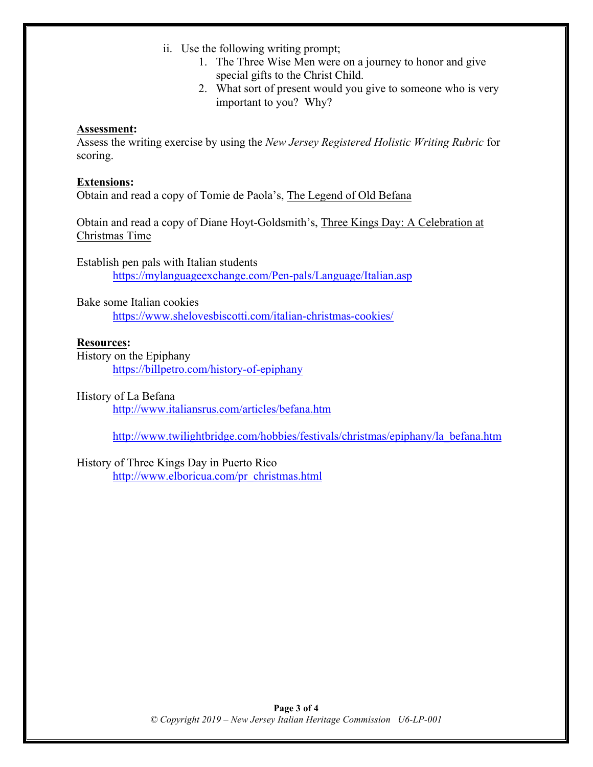- ii. Use the following writing prompt;
	- 1. The Three Wise Men were on a journey to honor and give special gifts to the Christ Child.
	- 2. What sort of present would you give to someone who is very important to you? Why?

#### **Assessment:**

Assess the writing exercise by using the *New Jersey Registered Holistic Writing Rubric* for scoring.

#### **Extensions:**

Obtain and read a copy of Tomie de Paola's, The Legend of Old Befana

Obtain and read a copy of Diane Hoyt-Goldsmith's, Three Kings Day: A Celebration at Christmas Time

Establish pen pals with Italian students https://mylanguageexchange.com/Pen-pals/Language/Italian.asp

Bake some Italian cookies https://www.shelovesbiscotti.com/italian-christmas-cookies/

#### **Resources:**

History on the Epiphany https://billpetro.com/history-of-epiphany

#### History of La Befana

http://www.italiansrus.com/articles/befana.htm

http://www.twilightbridge.com/hobbies/festivals/christmas/epiphany/la\_befana.htm

#### History of Three Kings Day in Puerto Rico

http://www.elboricua.com/pr\_christmas.html